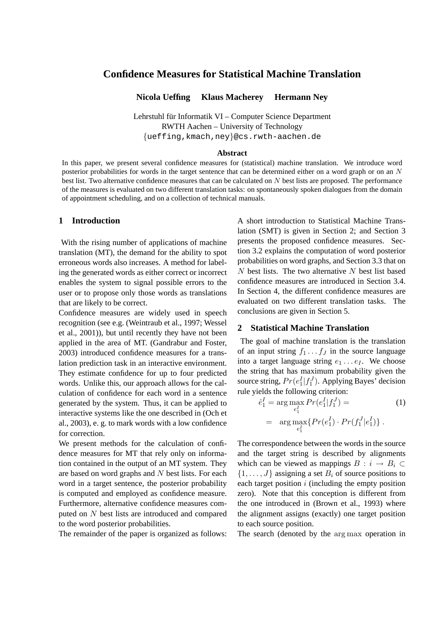# **Confidence Measures for Statistical Machine Translation**

**Nicola Ueffing Klaus Macherey Hermann Ney**

Lehrstuhl für Informatik VI – Computer Science Department RWTH Aachen – University of Technology {ueffing,kmach,ney}@cs.rwth-aachen.de

#### **Abstract**

In this paper, we present several confidence measures for (statistical) machine translation. We introduce word posterior probabilities for words in the target sentence that can be determined either on a word graph or on an  $N$ best list. Two alternative confidence measures that can be calculated on N best lists are proposed. The performance of the measures is evaluated on two different translation tasks: on spontaneously spoken dialogues from the domain of appointment scheduling, and on a collection of technical manuals.

#### **1 Introduction**

With the rising number of applications of machine translation (MT), the demand for the ability to spot erroneous words also increases. A method for labeling the generated words as either correct or incorrect enables the system to signal possible errors to the user or to propose only those words as translations that are likely to be correct.

Confidence measures are widely used in speech recognition (see e.g. (Weintraub et al., 1997; Wessel et al., 2001)), but until recently they have not been applied in the area of MT. (Gandrabur and Foster, 2003) introduced confidence measures for a translation prediction task in an interactive environment. They estimate confidence for up to four predicted words. Unlike this, our approach allows for the calculation of confidence for each word in a sentence generated by the system. Thus, it can be applied to interactive systems like the one described in (Och et al., 2003), e. g. to mark words with a low confidence for correction.

We present methods for the calculation of confidence measures for MT that rely only on information contained in the output of an MT system. They are based on word graphs and  $N$  best lists. For each word in a target sentence, the posterior probability is computed and employed as confidence measure. Furthermore, alternative confidence measures computed on N best lists are introduced and compared to the word posterior probabilities.

The remainder of the paper is organized as follows:

A short introduction to Statistical Machine Translation (SMT) is given in Section 2; and Section 3 presents the proposed confidence measures. Section 3.2 explains the computation of word posterior probabilities on word graphs, and Section 3.3 that on  $N$  best lists. The two alternative  $N$  best list based confidence measures are introduced in Section 3.4. In Section 4, the different confidence measures are evaluated on two different translation tasks. The conclusions are given in Section 5.

### **2 Statistical Machine Translation**

The goal of machine translation is the translation of an input string  $f_1 \ldots f_J$  in the source language into a target language string  $e_1 \dots e_I$ . We choose the string that has maximum probability given the source string,  $Pr(e_1^I | f_1^J)$ . Applying Bayes' decision rule yields the following criterion:

$$
\hat{e}_1^I = \arg \max_{e_1^I} Pr(e_1^I | f_1^J) =
$$
\n
$$
= \arg \max_{e_1^I} \{ Pr(e_1^I) \cdot Pr(f_1^J | e_1^I) \}.
$$
\n(1)

The correspondence between the words in the source and the target string is described by alignments which can be viewed as mappings  $B : i \rightarrow B_i \subset$  $\{1, \ldots, J\}$  assigning a set  $B_i$  of source positions to each target position  $i$  (including the empty position zero). Note that this conception is different from the one introduced in (Brown et al., 1993) where the alignment assigns (exactly) one target position to each source position.

The search (denoted by the arg max operation in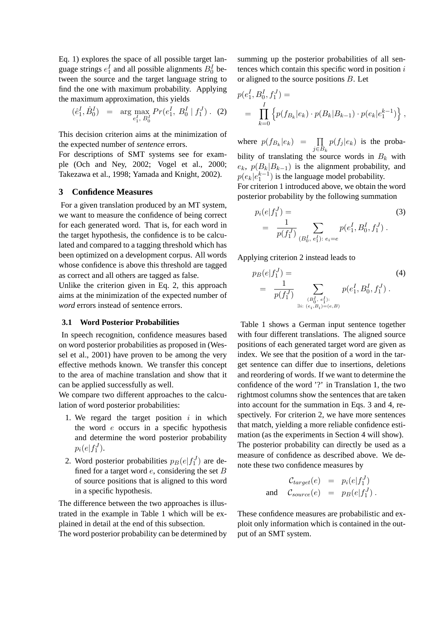Eq. 1) explores the space of all possible target language strings  $e_1^I$  and all possible alignments  $B_0^I$  between the source and the target language string to find the one with maximum probability. Applying the maximum approximation, this yields

$$
(\hat{e}_1^I, \hat{B}_0^I) = \arg \max_{e_1^I, B_0^I} Pr(e_1^I, B_0^I | f_1^J). (2)
$$

This decision criterion aims at the minimization of the expected number of *sentence* errors.

For descriptions of SMT systems see for example (Och and Ney, 2002; Vogel et al., 2000; Takezawa et al., 1998; Yamada and Knight, 2002).

# **3 Confidence Measures**

For a given translation produced by an MT system, we want to measure the confidence of being correct for each generated word. That is, for each word in the target hypothesis, the confidence is to be calculated and compared to a tagging threshold which has been optimized on a development corpus. All words whose confidence is above this threshold are tagged as correct and all others are tagged as false.

Unlike the criterion given in Eq. 2, this approach aims at the minimization of the expected number of *word* errors instead of sentence errors.

#### **3.1 Word Posterior Probabilities**

In speech recognition, confidence measures based on word posterior probabilities as proposed in (Wessel et al., 2001) have proven to be among the very effective methods known. We transfer this concept to the area of machine translation and show that it can be applied successfully as well.

We compare two different approaches to the calculation of word posterior probabilities:

- 1. We regard the target position  $i$  in which the word  $e$  occurs in a specific hypothesis and determine the word posterior probability  $p_i(e|f_1^J)$ .
- 2. Word posterior probabilities  $p_B(e|f_1^J)$  are defined for a target word  $e$ , considering the set  $B$ of source positions that is aligned to this word in a specific hypothesis.

The difference between the two approaches is illustrated in the example in Table 1 which will be explained in detail at the end of this subsection.

The word posterior probability can be determined by

summing up the posterior probabilities of all sentences which contain this specific word in position  $i$ or aligned to the source positions B. Let

$$
p(e_1^I, B_0^I, f_1^J) =
$$
  
= 
$$
\prod_{k=0}^I \left\{ p(f_{B_k}|e_k) \cdot p(B_k|B_{k-1}) \cdot p(e_k|e_1^{k-1}) \right\},
$$

where  $p(f_{B_k}|e_k) = \prod$  $j \in B_k$  $p(f_j | e_k)$  is the probability of translating the source words in  $B_k$  with  $e_k$ ,  $p(B_k|B_{k-1})$  is the alignment probability, and  $p(e_k|e_1^{k-1})$  is the language model probability.

For criterion 1 introduced above, we obtain the word posterior probability by the following summation

$$
p_i(e|f_1^J) = \frac{1}{p(f_1^J)} \sum_{(B_0^I, e_1^I): e_i = e} p(e_1^I, B_0^I, f_1^J).
$$
 (3)

Applying criterion 2 instead leads to

$$
p_B(e|f_1^J) = \sum_{\substack{p(f_1^J) \\ p(f_1^J) \\ \vdots \\ p(e_i, B_i) = (e, B)}} p(e_1^I, B_0^I, f_1^J).
$$
\n(4)

Table 1 shows a German input sentence together with four different translations. The aligned source positions of each generated target word are given as index. We see that the position of a word in the target sentence can differ due to insertions, deletions and reordering of words. If we want to determine the confidence of the word '?' in Translation 1, the two rightmost columns show the sentences that are taken into account for the summation in Eqs. 3 and 4, respectively. For criterion 2, we have more sentences that match, yielding a more reliable confidence estimation (as the experiments in Section 4 will show). The posterior probability can directly be used as a measure of confidence as described above. We denote these two confidence measures by

$$
\mathcal{C}_{target}(e) = p_i(e|f_1^J)
$$
  
and 
$$
\mathcal{C}_{source}(e) = p_B(e|f_1^J).
$$

These confidence measures are probabilistic and exploit only information which is contained in the output of an SMT system.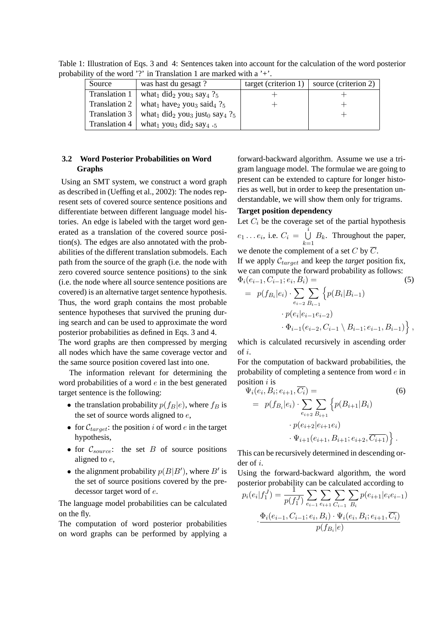| Source        | was hast du gesagt?                                                                          | target (criterion 1) | source (criterion 2) |
|---------------|----------------------------------------------------------------------------------------------|----------------------|----------------------|
| Translation 1 | what <sub>1</sub> did <sub>2</sub> you <sub>3</sub> say <sub>4</sub> $?_5$                   |                      |                      |
| Translation 2 | what <sub>1</sub> have <sub>2</sub> you <sub>3</sub> said <sub>4</sub> $?5$                  |                      |                      |
| Translation 3 | what <sub>1</sub> did <sub>2</sub> you <sub>3</sub> just <sub>0</sub> say <sub>4</sub> $?_5$ |                      |                      |
| Translation 4 | what <sub>1</sub> you <sub>3</sub> did <sub>2</sub> say <sub>4</sub> . <sub>5</sub>          |                      |                      |

Table 1: Illustration of Eqs. 3 and 4: Sentences taken into account for the calculation of the word posterior probability of the word '?' in Translation 1 are marked with a '+'.

# **3.2 Word Posterior Probabilities on Word Graphs**

Using an SMT system, we construct a word graph as described in (Ueffing et al., 2002): The nodes represent sets of covered source sentence positions and differentiate between different language model histories. An edge is labeled with the target word generated as a translation of the covered source position(s). The edges are also annotated with the probabilities of the different translation submodels. Each path from the source of the graph (i.e. the node with zero covered source sentence positions) to the sink (i.e. the node where all source sentence positions are covered) is an alternative target sentence hypothesis. Thus, the word graph contains the most probable sentence hypotheses that survived the pruning during search and can be used to approximate the word posterior probabilities as defined in Eqs. 3 and 4.

The word graphs are then compressed by merging all nodes which have the same coverage vector and the same source position covered last into one.

The information relevant for determining the word probabilities of a word  $e$  in the best generated target sentence is the following:

- the translation probability  $p(f_B|e)$ , where  $f_B$  is the set of source words aligned to  $e$ ,
- for  $C_{target}$ : the position i of word e in the target hypothesis,
- for  $C_{source}$ : the set B of source positions aligned to e,
- the alignment probability  $p(B|B')$ , where B' is the set of source positions covered by the predecessor target word of e.

The language model probabilities can be calculated on the fly.

The computation of word posterior probabilities on word graphs can be performed by applying a

forward-backward algorithm. Assume we use a trigram language model. The formulae we are going to present can be extended to capture for longer histories as well, but in order to keep the presentation understandable, we will show them only for trigrams.

### **Target position dependency**

Let  $C_i$  be the coverage set of the partial hypothesis

 $e_1 \ldots e_i$ , i.e.  $C_i = \bigcup_{i=1}^{i}$  $\bigcup_{k=1} B_k$ . Throughout the paper, we denote the complement of a set C by  $\overline{C}$ . If we apply  $C_{target}$  and keep the *target* position fix, we can compute the forward probability as follows:  $\Phi_i(e_{i-1}, C_{i-1}; e_i, B_i) =$  (5)  $\overline{\phantom{a}}$ n

$$
= p(f_{B_i}|e_i) \cdot \sum_{e_{i-2}} \sum_{B_{i-1}} \left\{ p(B_i|B_{i-1}) - p(e_i|e_{i-1}e_{i-2}) - \Phi_{i-1}(e_{i-2}, C_{i-1} \setminus B_{i-1}; e_{i-1}, B_{i-1}) \right\},
$$

which is calculated recursively in ascending order of i.

For the computation of backward probabilities, the probability of completing a sentence from word e in position  $i$  is

$$
\Psi_i(e_i, B_i; e_{i+1}, \overline{C_i}) =
$$
\n
$$
= p(f_{B_i}|e_i) \cdot \sum_{e_{i+2}} \sum_{B_{i+1}} \left\{ p(B_{i+1}|B_i) - p(e_{i+2}|e_{i+1}e_i) - \Psi_{i+1}(e_{i+1}, B_{i+1}; e_{i+2}, \overline{C_{i+1}}) \right\}.
$$
\n(6)

This can be recursively determined in descending order of i.

Using the forward-backward algorithm, the word

posterior probability can be calculated according to  
\n
$$
p_i(e_i|f_1^J) = \frac{1}{p(f_1^J)} \sum_{e_{i-1}} \sum_{e_{i+1}} \sum_{C_{i-1}} \sum_{B_i} p(e_{i+1}|e_i e_{i-1})
$$
\n
$$
\cdot \frac{\Phi_i(e_{i-1}, C_{i-1}; e_i, B_i) \cdot \Psi_i(e_i, B_i; e_{i+1}, \overline{C_i})}{p(f_{B_i}|e)}
$$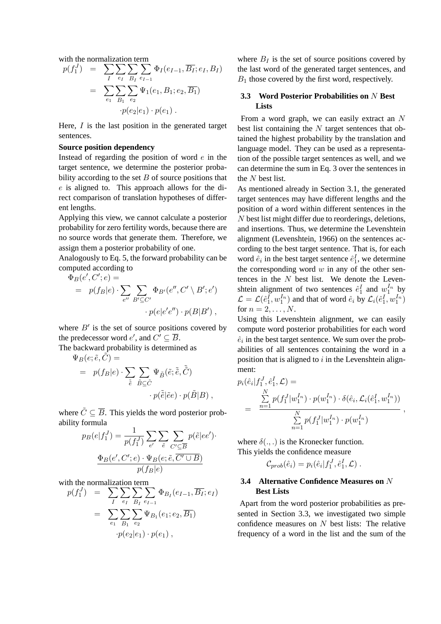with the normalization term  
\n
$$
p(f_1^J) = \sum_{I} \sum_{e_I} \sum_{B_I} \sum_{e_{I-1}} \Phi_I(e_{I-1}, \overline{B_I}; e_I, B_I)
$$
\n
$$
= \sum_{e_1} \sum_{B_1} \sum_{e_2} \Psi_1(e_1, B_1; e_2, \overline{B_1})
$$
\n
$$
\cdot p(e_2|e_1) \cdot p(e_1) .
$$

Here,  $I$  is the last position in the generated target sentences.

#### **Source position dependency**

Instead of regarding the position of word  $e$  in the target sentence, we determine the posterior probability according to the set  $B$  of source positions that e is aligned to. This approach allows for the direct comparison of translation hypotheses of different lengths.

Applying this view, we cannot calculate a posterior probability for zero fertility words, because there are no source words that generate them. Therefore, we assign them a posterior probability of one.

Analogously to Eq. 5, the forward probability can be computed according to

$$
\Phi_B(e', C'; e) =
$$
\n
$$
= p(f_B|e) \cdot \sum_{e''} \sum_{B' \subseteq C'} \Phi_{B'}(e'', C' \setminus B'; e')
$$
\n
$$
\cdot p(e|e'e'') \cdot p(B|B'),
$$

where  $B'$  is the set of source positions covered by the predecessor word  $e'$ , and  $C' \subseteq \overline{B}$ .

The backward probability is determined as  $\Psi_B(e;\tilde{e},\tilde{C})=$ 

$$
= p(f_B|e) \cdot \sum_{\tilde{e}} \sum_{\tilde{B} \subseteq \tilde{C}} \Psi_{\tilde{B}}(\tilde{e}; \tilde{\tilde{e}}, \tilde{\tilde{C}}) \cdot p(\tilde{\tilde{e}}|\tilde{e}e) \cdot p(\tilde{B}|B) ,
$$

where  $\tilde{C} \subseteq \overline{B}$ . This yields the word posterior probability formula

$$
p_B(e|f_1^J) = \frac{1}{p(f_1^J)} \sum_{e'} \sum_{\tilde{e}} \sum_{C' \subseteq \overline{B}} p(\tilde{e}|ee').
$$

$$
\frac{\Phi_B(e', C'; e) \cdot \Psi_B(e; \tilde{e}, \overline{C' \cup B})}{p(f_B|e)}
$$

with the normalization term<br>  $p(f_1^J) = \sum_i \sum_j \sum_j$ 

$$
p(f_1^J) = \sum_{I} \sum_{e_I} \sum_{B_I} \sum_{e_{I-1}} \Phi_{B_I}(e_{I-1}, \overline{B_I}; e_I)
$$
  
= 
$$
\sum_{e_1} \sum_{B_1} \sum_{e_2} \Psi_{B_1}(e_1; e_2, \overline{B_1})
$$
  

$$
\cdot p(e_2|e_1) \cdot p(e_1),
$$

where  $B_I$  is the set of source positions covered by the last word of the generated target sentences, and  $B_1$  those covered by the first word, respectively.

# **3.3 Word Posterior Probabilities on** N **Best Lists**

From a word graph, we can easily extract an N best list containing the  $N$  target sentences that obtained the highest probability by the translation and language model. They can be used as a representation of the possible target sentences as well, and we can determine the sum in Eq. 3 over the sentences in the N best list.

As mentioned already in Section 3.1, the generated target sentences may have different lengths and the position of a word within different sentences in the N best list might differ due to reorderings, deletions, and insertions. Thus, we determine the Levenshtein alignment (Levenshtein, 1966) on the sentences according to the best target sentence. That is, for each word  $\hat{e}_i$  in the best target sentence  $\hat{e}_1^I$ , we determine the corresponding word  $w$  in any of the other sentences in the  $N$  best list. We denote the Levenshtein alignment of two sentences  $\hat{e}_1^I$  and  $w_1^{I_n}$  by  $\mathcal{L} = \mathcal{L}(\hat{e}_1^I, w_1^{I_n})$  and that of word  $\hat{e}_i$  by  $\mathcal{L}_i(\hat{e}_1^I, w_1^{I_n})$ for  $n = 2, \ldots, N$ .

Using this Levenshtein alignment, we can easily compute word posterior probabilities for each word  $\hat{e}_i$  in the best target sentence. We sum over the probabilities of all sentences containing the word in a position that is aligned to  $i$  in the Levenshtein alignment:

$$
p_i(\hat{e}_i|f_1^J, \hat{e}_1^I, \mathcal{L}) =
$$
  
= 
$$
\frac{\sum_{n=1}^N p(f_1^J|w_1^{I_n}) \cdot p(w_1^{I_n}) \cdot \delta(\hat{e}_i, \mathcal{L}_i(\hat{e}_1^I, w_1^{I_n}))}{\sum_{n=1}^N p(f_1^J|w_1^{I_n}) \cdot p(w_1^{I_n})}
$$

,

where  $\delta(.,.)$  is the Kronecker function. This yields the confidence measure

$$
\mathcal{C}_{prob}(\hat{e}_i) = p_i(\hat{e}_i|f_1^J, \hat{e}_1^I, \mathcal{L}).
$$

### **3.4 Alternative Confidence Measures on** N **Best Lists**

Apart from the word posterior probabilities as presented in Section 3.3, we investigated two simple confidence measures on  $N$  best lists: The relative frequency of a word in the list and the sum of the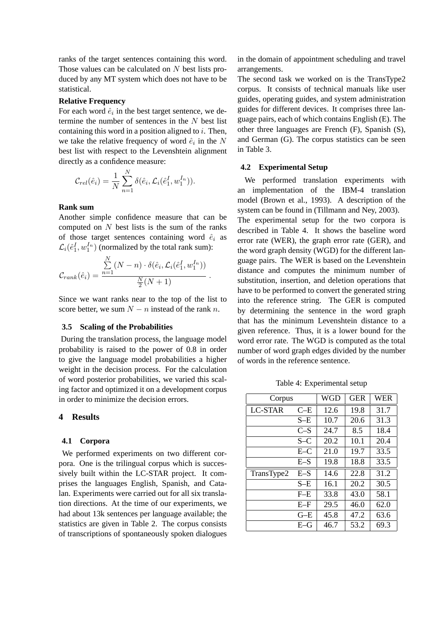ranks of the target sentences containing this word. Those values can be calculated on  $N$  best lists produced by any MT system which does not have to be statistical.

### **Relative Frequency**

For each word  $\hat{e}_i$  in the best target sentence, we determine the number of sentences in the  $N$  best list containing this word in a position aligned to  $i$ . Then, we take the relative frequency of word  $\hat{e}_i$  in the N best list with respect to the Levenshtein alignment directly as a confidence measure:

$$
C_{rel}(\hat{e}_i) = \frac{1}{N} \sum_{n=1}^{N} \delta(\hat{e}_i, \mathcal{L}_i(\hat{e}_1^I, w_1^{I_n})).
$$

# **Rank sum**

Another simple confidence measure that can be computed on  $N$  best lists is the sum of the ranks of those target sentences containing word  $\hat{e}_i$  as  $\mathcal{L}_i(\hat{e}_1^I, w_1^{I_n})$  (normalized by the total rank sum):

$$
C_{rank}(\hat{e}_i) = \frac{\sum\limits_{n=1}^N (N-n) \cdot \delta(\hat{e}_i, \mathcal{L}_i(\hat{e}_1^I, w_1^{I_n}))}{\frac{N}{2}(N+1)}.
$$

Since we want ranks near to the top of the list to score better, we sum  $N - n$  instead of the rank n.

#### **3.5 Scaling of the Probabilities**

During the translation process, the language model probability is raised to the power of 0.8 in order to give the language model probabilities a higher weight in the decision process. For the calculation of word posterior probabilities, we varied this scaling factor and optimized it on a development corpus in order to minimize the decision errors.

### **4 Results**

### **4.1 Corpora**

We performed experiments on two different corpora. One is the trilingual corpus which is successively built within the LC-STAR project. It comprises the languages English, Spanish, and Catalan. Experiments were carried out for all six translation directions. At the time of our experiments, we had about 13k sentences per language available; the statistics are given in Table 2. The corpus consists of transcriptions of spontaneously spoken dialogues in the domain of appointment scheduling and travel arrangements.

The second task we worked on is the TransType2 corpus. It consists of technical manuals like user guides, operating guides, and system administration guides for different devices. It comprises three language pairs, each of which contains English (E). The other three languages are French (F), Spanish (S), and German (G). The corpus statistics can be seen in Table 3.

#### **4.2 Experimental Setup**

We performed translation experiments with an implementation of the IBM-4 translation model (Brown et al., 1993). A description of the system can be found in (Tillmann and Ney, 2003). The experimental setup for the two corpora is described in Table 4. It shows the baseline word error rate (WER), the graph error rate (GER), and the word graph density (WGD) for the different language pairs. The WER is based on the Levenshtein distance and computes the minimum number of substitution, insertion, and deletion operations that have to be performed to convert the generated string into the reference string. The GER is computed by determining the sentence in the word graph that has the minimum Levenshtein distance to a given reference. Thus, it is a lower bound for the word error rate. The WGD is computed as the total number of word graph edges divided by the number of words in the reference sentence.

Table 4: Experimental setup

| Corpus         | WGD           | <b>GER</b> | <b>WER</b> |      |  |
|----------------|---------------|------------|------------|------|--|
| <b>LC-STAR</b> | $C-E$         |            | 19.8       | 31.7 |  |
|                | S–E           | 10.7       | 20.6       | 31.3 |  |
|                | $C-S$         | 24.7       | 8.5        | 18.4 |  |
|                | $S-C$         | 20.2       | 10.1       | 20.4 |  |
|                | $E-C$         | 21.0       | 19.7       | 33.5 |  |
|                | $E-S$         | 19.8       | 18.8       | 33.5 |  |
| TransType2     | $E-S$         | 14.6       | 22.8       | 31.2 |  |
|                | S–E           | 16.1       | 20.2       | 30.5 |  |
|                | $F$ -E        | 33.8       | 43.0       | 58.1 |  |
|                | $E-F$         | 29.5       | 46.0       | 62.0 |  |
|                | $G-E$         | 45.8       | 47.2       | 63.6 |  |
|                | $E\text{--}G$ | 46.7       | 53.2       | 69.3 |  |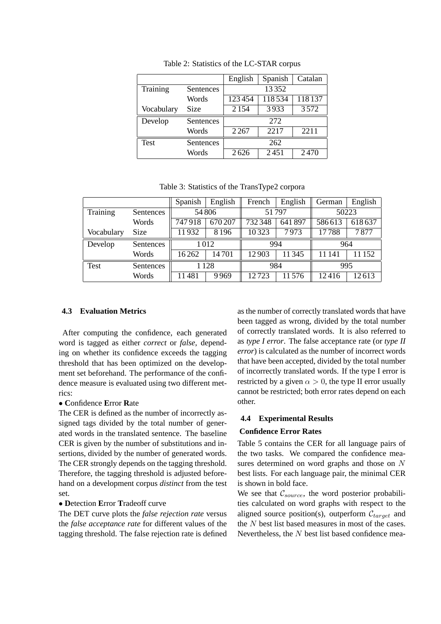|             |                  | English | Spanish | Catalan |  |  |
|-------------|------------------|---------|---------|---------|--|--|
| Training    | <b>Sentences</b> | 13352   |         |         |  |  |
|             | Words            | 123454  | 118534  | 118137  |  |  |
| Vocabulary  | Size             | 2 1 5 4 | 3933    | 3572    |  |  |
| Develop     | <b>Sentences</b> | 272     |         |         |  |  |
|             | Words            | 2267    | 2217    | 2211    |  |  |
| <b>Test</b> | Sentences        | 262     |         |         |  |  |
|             | Words            | 2626    | 2451    | 2470    |  |  |

Table 2: Statistics of the LC-STAR corpus

Table 3: Statistics of the TransType2 corpora

|            |           | Spanish | English          | French | English | German | English |
|------------|-----------|---------|------------------|--------|---------|--------|---------|
| Training   | Sentences | 54806   |                  | 51797  |         | 50223  |         |
|            | Words     | 747918  | $\sqrt{670}$ 207 | 732348 | 641897  | 586613 | 618637  |
| Vocabulary | Size      | 11932   | 8196             | 10323  | 7973    | 17788  | 7877    |
| Develop    | Sentences | 1012    |                  | 994    |         | 964    |         |
|            | Words     | 16262   | 14701            | 12903  | 11345   | 11 141 | 11 152  |
| Test       | Sentences | 1128    |                  | 984    |         | 995    |         |
|            | Words     | 11481   | 9969             | 12723  | 11576   | 12416  | 12613   |

### **4.3 Evaluation Metrics**

After computing the confidence, each generated word is tagged as either *correct* or *false*, depending on whether its confidence exceeds the tagging threshold that has been optimized on the development set beforehand. The performance of the confidence measure is evaluated using two different metrics:

#### • **C**onfidence **E**rror **R**ate

The CER is defined as the number of incorrectly assigned tags divided by the total number of generated words in the translated sentence. The baseline CER is given by the number of substitutions and insertions, divided by the number of generated words. The CER strongly depends on the tagging threshold. Therefore, the tagging threshold is adjusted beforehand on a development corpus *distinct* from the test set.

#### • **D**etection **E**rror **T**radeoff curve

The DET curve plots the *false rejection rate* versus the *false acceptance rate* for different values of the tagging threshold. The false rejection rate is defined

as the number of correctly translated words that have been tagged as wrong, divided by the total number of correctly translated words. It is also referred to as *type I error*. The false acceptance rate (or *type II error*) is calculated as the number of incorrect words that have been accepted, divided by the total number of incorrectly translated words. If the type I error is restricted by a given  $\alpha > 0$ , the type II error usually cannot be restricted; both error rates depend on each other.

# **4.4 Experimental Results**

#### **Confidence Error Rates**

Table 5 contains the CER for all language pairs of the two tasks. We compared the confidence measures determined on word graphs and those on N best lists. For each language pair, the minimal CER is shown in bold face.

We see that  $C_{source}$ , the word posterior probabilities calculated on word graphs with respect to the aligned source position(s), outperform  $C_{target}$  and the N best list based measures in most of the cases. Nevertheless, the  $N$  best list based confidence mea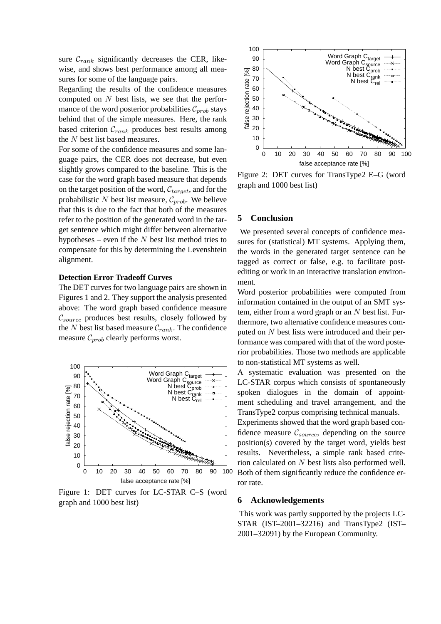sure  $\mathcal{C}_{rank}$  significantly decreases the CER, likewise, and shows best performance among all measures for some of the language pairs.

Regarding the results of the confidence measures computed on N best lists, we see that the performance of the word posterior probabilities  $C_{prob}$  stays behind that of the simple measures. Here, the rank based criterion  $C_{rank}$  produces best results among the N best list based measures.

For some of the confidence measures and some language pairs, the CER does not decrease, but even slightly grows compared to the baseline. This is the case for the word graph based measure that depends on the target position of the word,  $C_{target}$ , and for the probabilistic N best list measure,  $\mathcal{C}_{prob}$ . We believe that this is due to the fact that both of the measures refer to the position of the generated word in the target sentence which might differ between alternative hypotheses – even if the  $N$  best list method tries to compensate for this by determining the Levenshtein alignment.

### **Detection Error Tradeoff Curves**

The DET curves for two language pairs are shown in Figures 1 and 2. They support the analysis presented above: The word graph based confidence measure  $\mathcal{C}_{source}$  produces best results, closely followed by the N best list based measure  $\mathcal{C}_{rank}$ . The confidence measure  $\mathcal{C}_{prob}$  clearly performs worst.



Figure 1: DET curves for LC-STAR C–S (word graph and 1000 best list)



Figure 2: DET curves for TransType2 E–G (word graph and 1000 best list)

### **5 Conclusion**

We presented several concepts of confidence measures for (statistical) MT systems. Applying them, the words in the generated target sentence can be tagged as correct or false, e.g. to facilitate postediting or work in an interactive translation environment.

Word posterior probabilities were computed from information contained in the output of an SMT system, either from a word graph or an  $N$  best list. Furthermore, two alternative confidence measures computed on N best lists were introduced and their performance was compared with that of the word posterior probabilities. Those two methods are applicable to non-statistical MT systems as well.

A systematic evaluation was presented on the LC-STAR corpus which consists of spontaneously spoken dialogues in the domain of appointment scheduling and travel arrangement, and the TransType2 corpus comprising technical manuals.

Experiments showed that the word graph based confidence measure  $\mathcal{C}_{source}$ , depending on the source position(s) covered by the target word, yields best results. Nevertheless, a simple rank based criterion calculated on N best lists also performed well. Both of them significantly reduce the confidence error rate.

### **6 Acknowledgements**

This work was partly supported by the projects LC-STAR (IST–2001–32216) and TransType2 (IST– 2001–32091) by the European Community.